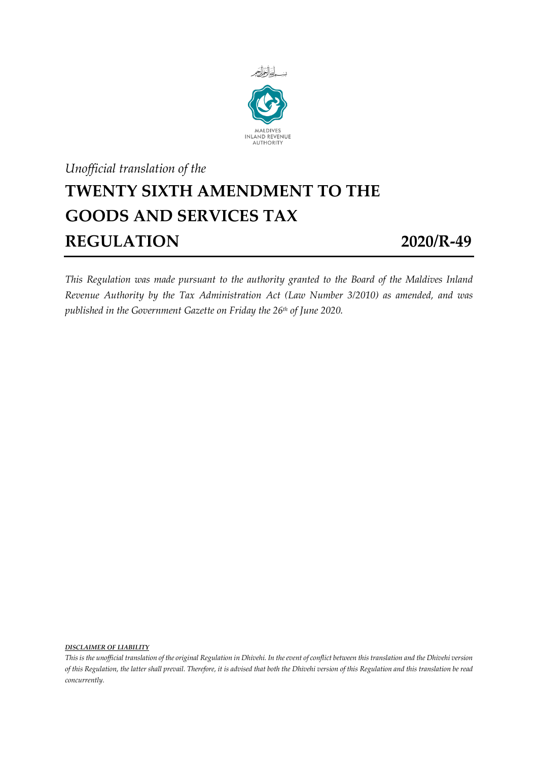

## *Unofficial translation of the* **TWENTY SIXTH AMENDMENT TO THE GOODS AND SERVICES TAX REGULATION 2020/R-49**

*This Regulation was made pursuant to the authority granted to the Board of the Maldives Inland Revenue Authority by the Tax Administration Act (Law Number 3/2010) as amended, and was published in the Government Gazette on Friday the 26th of June 2020.*

*DISCLAIMER OF LIABILITY*

*This is the unofficial translation of the original Regulation in Dhivehi. In the event of conflict between this translation and the Dhivehi version of this Regulation, the latter shall prevail. Therefore, it is advised that both the Dhivehi version of this Regulation and this translation be read concurrently.*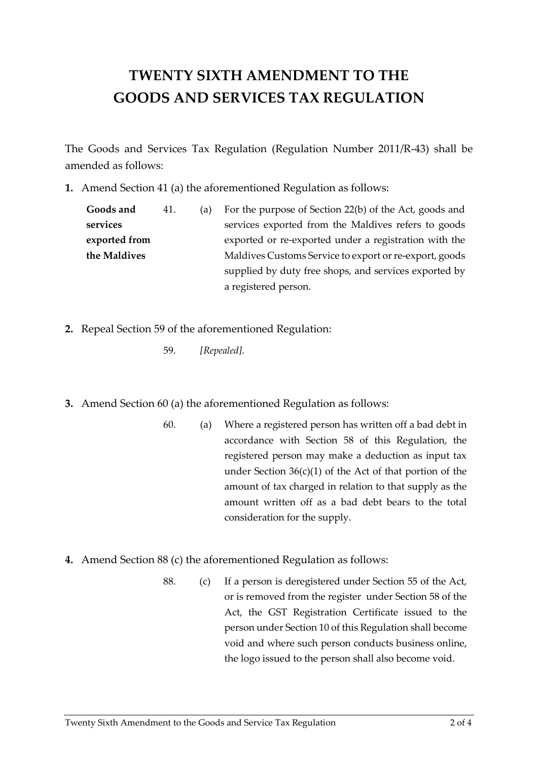## **TWENTY SIXTH AMENDMENT TO THE GOODS AND SERVICES TAX REGULATION**

The Goods and Services Tax Regulation (Regulation Number 2011/R-43) shall be amended as follows:

**1.** Amend Section 41 (a) the aforementioned Regulation as follows:

**Goods and services exported from the Maldives** 41. (a) For the purpose of Section 22(b) of the Act, goods and services exported from the Maldives refers to goods exported or re-exported under a registration with the Maldives Customs Service to export or re-export, goods supplied by duty free shops, and services exported by a registered person.

- **2.** Repeal Section 59 of the aforementioned Regulation:
	- 59. *[Repealed]*.
- **3.** Amend Section 60 (a) the aforementioned Regulation as follows:
	- 60. (a) Where a registered person has written off a bad debt in accordance with Section 58 of this Regulation, the registered person may make a deduction as input tax under Section  $36(c)(1)$  of the Act of that portion of the amount of tax charged in relation to that supply as the amount written off as a bad debt bears to the total consideration for the supply.
- **4.** Amend Section 88 (c) the aforementioned Regulation as follows:
	- 88. (c) If a person is deregistered under Section 55 of the Act, or is removed from the register under Section 58 of the Act, the GST Registration Certificate issued to the person under Section 10 of this Regulation shall become void and where such person conducts business online, the logo issued to the person shall also become void.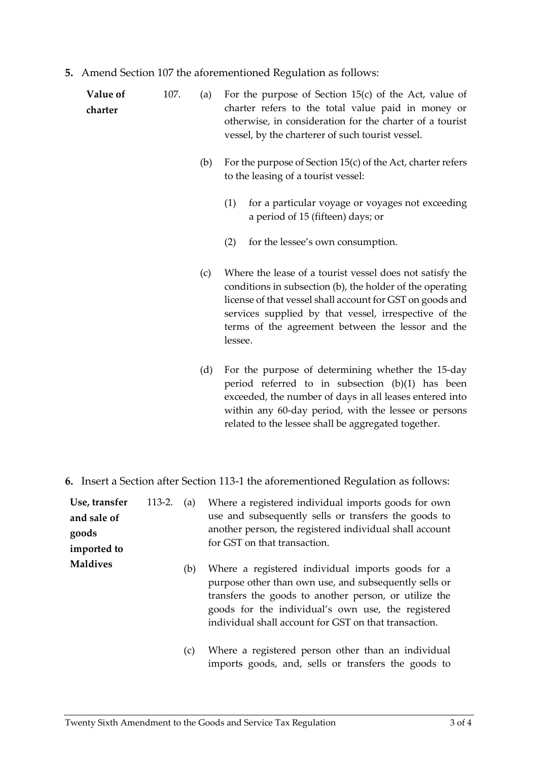**5.** Amend Section 107 the aforementioned Regulation as follows:

| Value of<br>charter | 107. | (a) | For the purpose of Section 15(c) of the Act, value of<br>charter refers to the total value paid in money or<br>otherwise, in consideration for the charter of a tourist<br>vessel, by the charterer of such tourist vessel.                                                                                 |
|---------------------|------|-----|-------------------------------------------------------------------------------------------------------------------------------------------------------------------------------------------------------------------------------------------------------------------------------------------------------------|
|                     |      | (b) | For the purpose of Section 15(c) of the Act, charter refers<br>to the leasing of a tourist vessel:                                                                                                                                                                                                          |
|                     |      |     | for a particular voyage or voyages not exceeding<br>(1)<br>a period of 15 (fifteen) days; or                                                                                                                                                                                                                |
|                     |      |     | for the lessee's own consumption.<br>(2)                                                                                                                                                                                                                                                                    |
|                     |      | (c) | Where the lease of a tourist vessel does not satisfy the<br>conditions in subsection (b), the holder of the operating<br>license of that vessel shall account for GST on goods and<br>services supplied by that vessel, irrespective of the<br>terms of the agreement between the lessor and the<br>lessee. |
|                     |      | (d) | For the purpose of determining whether the 15-day<br>period referred to in subsection $(b)(1)$ has been<br>exceeded, the number of days in all leases entered into<br>within any 60-day period, with the lessee or persons                                                                                  |

**6.** Insert a Section after Section 113-1 the aforementioned Regulation as follows:

related to the lessee shall be aggregated together.

| Use, transfer<br>and sale of<br>goods<br>imported to | $113-2.$ | (a) | Where a registered individual imports goods for own<br>use and subsequently sells or transfers the goods to<br>another person, the registered individual shall account<br>for GST on that transaction.                                                                             |
|------------------------------------------------------|----------|-----|------------------------------------------------------------------------------------------------------------------------------------------------------------------------------------------------------------------------------------------------------------------------------------|
| <b>Maldives</b>                                      |          | (b) | Where a registered individual imports goods for a<br>purpose other than own use, and subsequently sells or<br>transfers the goods to another person, or utilize the<br>goods for the individual's own use, the registered<br>individual shall account for GST on that transaction. |
|                                                      |          | (c) | Where a registered person other than an individual<br>imports goods, and, sells or transfers the goods to                                                                                                                                                                          |